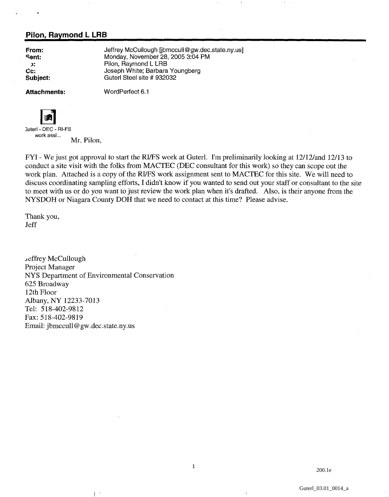## **Pilon, Raymond L LRB**

**From: Sent: 3: Cc: Subject:**  Jeffrey McCullough [jbmccull@gw.dec.state.ny.us] Monday, November 28,2005 3:04 PM Pilon, Raymond L LRB Joseph White; Barbara Youngberg Guterl Steel site # 932032

Attachments: **WordPerfect 6.1** 



3uterl- DEC - RI-FS work assi...<br>Mr. Pilon,

FYI - We just got approval to start the RI/FS work at Guterl. I'm preliminarily looking at 12/12/and 12/13 to conduct a site visit with the folks from MACTEC (DEC consultant for this work) so they can scope out the work plan. Attached is a copy of the RUFS work assignment sent to MACTEC for this site. We will need to discuss coordinating sampling efforts, I didn't know if you wanted to send out your staff or consultant to the site to meet with us or do you want to just review the work plan when it's drafted. Also, is their anyone from the NYSDOH or Niagara County DOH that we need to contact at this time? Please advise.

 $\mathbf{1}$ 

Thank you, Jeff

Jeffrey McCullough Project Manager NYS Department of Environmental Conservation 625 Broadway 12th Floor Albany, NY 12233-7013 Tel: 5 18-402-98 12 Fax: *5* 18-402-98 19 Email: jbmccull@gw.dec.state.ny.us

 $\mathbf{I}$ 

200.1e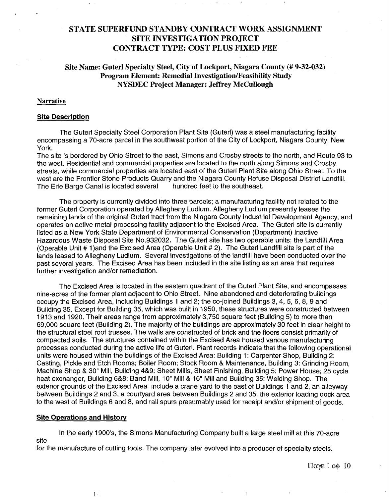# **STATE SUPERFUND STANDBY CONTRACT WORK ASSIGNMENT SITE INVESTIGATION PROJECT CONTRACT TYPE: COST PLUS FIXED FEE**

## **Site Name: Guterl Specialty Steel, City of Lockport, Niagara County** (# **9-32-032) Program Element: Remedial Investigation/Feasibility Study NYSDEC Project Manager: Jeffrey McCullough**

### **Narrative**

#### **Site Description**

The Guterl Specialty Steel Corporation Plant Site (Guterl) was a steel manufacturing facility encompassing a 70-acre parcel in the southwest portion of the City of Lockport, Niagara County, New York.

The site is bordered by Ohio Street to the east, Simons and Crosby streets to the north, and Route 93 to the west. Residential and commercial properties are located to the north along Simons and Crosby streets, while commercial properties are located east of the Guterl Plant Site along Ohio Street. To the west are the Frontier Stone Products Quarry and the Niagara County Refuse Disposal District Landfill. The Erie Barge Canal is located several hundred feet to the southeast.

The property is currently divided inlo three parcels; a manufacturing facility not related to the former Guterl Corporation operated by Allegheny Ludlum. Allegheny Ludlum presently leases the remaining lands of the original Guterl tract from the Niagara County Industrial Development Agency, and operates an active metal processing facility adjacent to the Excised Area. The Guterl site is currently listed as a New York State Department of Environmental Conservation (Department) Inactive Hazardous Waste Disposal Site No.932032. The Guterl site has two operable units; the Landfill Area (Operable Unit # 1)and the Excised Area (Operable Unit # 2). The Guterl Landfill site is part of the lands leased to Allegheny Ludlum. Several investigations of the landfill have been conducted over the past several years. The Excised Area has been included in the site listing as an area that requires further investigation and/or remediation.

The Excised Area is located in the eastern quadrant of the Guterl Plant Site, and encompasses nine-acres of the former plant adjacent to Ohio Street. Nine abandoned and deteriorating buildings occupy the Excised Area, including Buildings 1 and 2; the co-joined Buildings 3, 4, 5, 6, 8, 9 and Building 35. Except for Building 35, which was built in 1950, these structures were constructed between 1913 and 1920. Their areas range from approximately 3,750 square feet (Building 5) to more than 69,000 square feet (Building 2). The majoriity of the buildings are approximately 30 feet in clear height to the structural steel roof trusses. The walls are constructed of brick and the floors consist primarily of compacted soils. The structures contained within the Excised Area housed various manufacturing processes conducted during the active life of Guterl. Plant records indicate that the following operational units were housed within the buildings of the Excised Area: Building 1: Carpenter Shop, Building 2: Casting, Pickle and Etch Rooms; Boiler Room; Stock Room & Maintenance, Building 3: Grinding Room, Machine Shop & 30" Mill, Building 4&9: Sheet Mills, Sheet Finishing, Building 5: Power House; 25 cycle heat exchanger, Building 6&8: Band Mill, 10" Mill & 16" Mill and Building 35: Welding Shop. The exterior grounds of the Excised Area include a crane yard to the east of Buildings 1 and 2, an alleyway between Buildings 2 and 3, a courtyard area between Buildings 2 and 35, the exterior loading dock area to the west of Buildings 6 and 8, and rail spurs presumably used for receipt and/or shipment of goods.

#### **Site Operations and History**

 $\mathbb{R}^+$ 

In the early 1900's, the Simons Manufacturing Company built a large steel mill at this 70-acre site

for the manufacture of cutting tools. The company later evolved into a producer of specialty steels.

 $\pi$ <sub>χε</sub> 1 οφ 10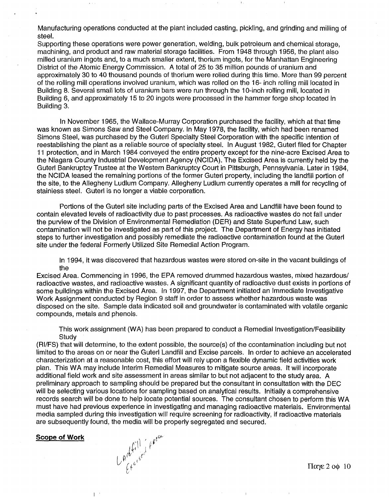Manufacturing operations conducted at the plant included casting, pickling, and grinding and milling of steel.

Supporting these operations were power generation, welding, bulk petroleum and chemical storage, machining, and product and raw material storage facilities. From 1948 through 1956, the plant also milled uranium ingots and, to a much smaller extent, thorium ingots, for the Manhattan Engineering District of the Atomic Energy Commission. A total of 25 to 35 million pounds of uranium and approximately 30 to 40 thousand pounds of thorium were rolled during this time. More than 99 percent of the rolling mill operations involved uranium, which was rolled on the 16- inch rolling mill located in Building 8. Several small lots of uranium bars were run through the 10-inch rolling mill, located in Building 6, and approximately 15 to 20 ingots were processed in the hammer forge shop located in Building 3.

In November 1965, the Wallace-Murray Corporation purchased the facility, which at that time was known as Simons Saw and Steel Company. In May 1978, the facility, which had been renamed Simons Steel, was purchased by the Guterl Specialty Steel Corporation with the specific intention of reestablishing the plant as a reliable source of specialty steel. In August 1982, Guterl filed for Chapter 11 protection, and in March 1984 conveyed the entire property except for the nine-acre Excised Area to the Niagara County Industrial Development Agency (NCIDA). The Excised Area is currently held by the Guterl Bankruptcy Trustee at the Western Bankruptcy Court in Pittsburgh, Pennsylvania. Later in 1984, the NCIDA leased the remaining portions of the former Guterl property, including the landfill portion of the site, to the Allegheny Ludlum Company. Allegheny Ludlum currently operates a mill for recycling of stainless steel. Guterl is no longer a viable corporation.

Portions of the Guterl site including parts of the Excised Area and Landfill have been found to contain elevated levels of radioactivity due to past processes. As radioactive wastes do not fall under the purview of the Division of Environmental Remediation (DER) and State Superfund Law, such contamination will not be investigated as part of this project. The Department of Energy has initiated steps to further investigation and possibly remediate the radioactive contamination found at the Guterl site under the federal Formerly Utilized Site Remedial Action Program.

In 1994, it was discovered that hazardous wastes were stored on-site in the vacant buildings of the

Excised Area. Commencing in 1996, the EPA removed drummed hazardous wastes, mixed hazardous/ radioactive wastes, and radioactive wastes. A significant quantity of radioactive dust exists in portions of some buildings within the Excised Area. In 1997, the Department initiated an Immediate Investigative Work Assignment conducted by Region 9 staff in order to assess whether hazardous waste was disposed on the site. Sample data indicated soil and groundwater is contaminated with volatile organic compounds, metals and phenols.

This work assignment (WA) has been prepared to conduct a Remedial Investigation/Feasibility **Study** 

(RIIFS) that will determine, to the extent possible, the source(s) of the ccontamination including but not limited to the areas on or near the Guterl Landfill and Excise parcels. In order to achieve an accelerated characterization at a reasonable cost, this effort will rely upon a flexible dynamic field activities work plan. This WA may include Interim Remedial Measures to mitigate source areas. It will incorporate additional field work and site assessment in areas similar to but not adjacent to the study area. A preliminary approach to sampling should be prepared but the consultant in consultation with the DEC will be selecting various locations for sampling based on analytical results. Initially a comprehensive records search will be done to help locate potential sources. The consultant chosen to perform this WA must have had previous experience in investigating and managing radioactive materials. Environmental media sampled during this investigation will require screening for radioactivity, if radioactive materials are subsequently found, the media will be properly segregated and secured.

#### **Scope of Work**

L

 $L$ Artilled Apear

 $\Pi$ <sub>*a* $\chi$  $\epsilon$ </sub> 2 o<sub> $\phi$ </sub> 10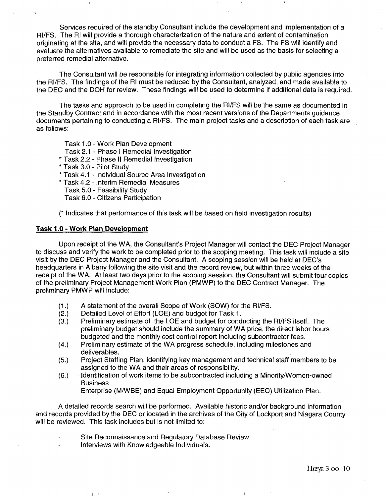Services required of the standby Consultant include the development and implementation of a RI/FS. The RI will provide a thorough characterization of the nature and extent of contamination originating at the site, and will provide the necessary data to conduct a FS. The FS will identify and evaluate the alternatives available to remediate the site and will be used as the basis for selecting a preferred remedial alternative.

The Consultant will be responsible for integrating information collected by public agencies into the RIIFS. The findings of the RI must be reduced by the Consultant, analyzed, and made available to the DEC and the DOH for review. These findings will be used to determine if additional data is required.

The tasks and approach to be used in completing the RI/FS will be the same as documented in the Standby Contract and in accordance vvith the most recent versions of the Departments guidance documents pertaining to conducting a RI/FS. The main project tasks and a description of each task are as follows:

Task 1.0 - Work Plan Development

- Task 2.1 Phase I Remedial Investigation
- \* Task 2.2 Phase II Remedial lnvestigation
- \* Task 3.0 Pilot Study
- \* Task 4.1 Individual Source Area lnvestigation
- \* Task 4.2 Interim Remedial Measures
	- Task 5.0 Feasibility Study
	- Task 6.0 Citizens Participation

(\* Indicates that performance of this task will be based on field investigation results)

#### **Task 1.0** - **Work Plan Development**

Upon receipt of the WA, the Consultant's Project Manager will contact the DEC Project Manager to discuss and verify the work to be completed prior to the scoping meeting. This task will include a site visit by the DEC Project Manager and the Consultant. A scoping session will be held at DEC's headquarters in Albany following the site visit and the record review, but within three weeks of the receipt of the WA. At least two days prior to the scoping session, the Consultant will submit four copies of the preliminary Project Management Work Plan (PMWP) to the DEC Contract Manager. The preliminary PMWP will include:

- (1.) A statement of the overall Scope of Work (SOW) for the RI/FS.<br>(2.) Detailed Level of Effort (LOE) and budget for Task 1.
- (2.) Detailed Level of Effort (LOE) and budget for Task 1.<br>(3.) Preliminary estimate of the LOE and budget for cond
- Preliminary estimate of the LOE and budget for conducting the RI/FS itself. The preliminary budget should include the summary of WA price, the direct labor hours budgeted and the monthly cost control report including subcontractor fees.
- (4.) Preliminary estimate of the WA progress schedule, including milestones and deliverables.
- (5.) Project Staffing Plan, identifying key management and technical staff members to be assigned to the WA and their areas of responsibility.
- (6.) Identification of work items to be subcontracted including a Minority/Women-owned Business

Enterprise (M/WBE) and Equal Employment Opportunity (EEO) Utilization Plan.

A detailed records search will be performed. Available historic and/or background information and records provided by the DEC or located in the archives of the City of Lockport and Niagara County will be reviewed. This task includes but is not limited to:

- Site Reconnaissance and Regulatory Database Review.
- Interviews with Knowledgeable Individuals.

L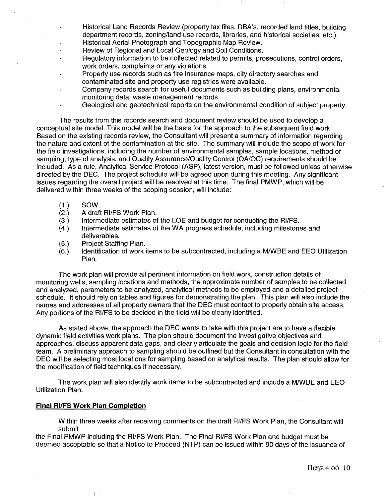- Historical Land Records Review (property tax files, DBA's, recorded land titles, building department records, zoning/land use records, libraries, and historical societies, etc.). Historical Aerial Photograph and Topographic Map Review.
- Review of Regional and Local Geology and Soil Conditions.
- Regulatory information to be collected related to permits, prosecutions, control orders, work orders, complaints or any violations.
- Property use records such as fire insurance maps, city directory searches and contaminated site and property use registries were available.
- Company records search for useful documents such as building plans, environmental monitoring data, waste management records.
	- Geological and geotechnical reports on the environmental condition of subject property.

The results from this records search and document review should be used to develop a conceptual site model. This model will be the basis for the approach to the subsequent field work. Based on the existing records review, the Consultant will present a summary of information regarding the nature and extent of the contamination at the site. The summary will include the scope of work for the field investigations, including the number of environmental samples, sample locations, method of sampling, type of analysis, and Quality Assurance/Quality Control (QA/QC) requirements should be included. As a rule, Analytical Service Protocol (ASP), latest version, must be followed unless otherwise directed by the DEC. The project schedule will be agreed upon during this meeting. Any significant issues regarding the overall project will be resolved at this time. The final PMWP, which will be delivered within three weeks of the scoping session, will include:

- 
- $(1.)$  SOW.<br> $(2.)$  A draft **(2.)** A draft RIIFS Work Plan.
- (3.) Intermediate estimates of the LOE and budget for conducting the RI/FS.<br>(4.) Intermediate estimates of the WA progress schedule, including milestone
- Intermediate estimates of the WA progress schedule, including milestones and deliverables.
- (5.) Project Staffing Plan.
- Identification of work items to be subcontracted, including a M/WBE and EEO Utilization Plan.

The work plan will provide all pertinent information on field work, construction details of monitoring wells, sampling locations and methods, the approximate number of samples to be collected and analyzed, parameters to be analyzed, analytical methods to be employed and a detailed project schedule. It should rely on tables and figures for demonstrating the plan. This plan will also include the names and addresses of all property owners that the DEC must contact to properly obtain site access. Any portions of the RI/FS to be decided in the field will be clearly identified.

As stated above, the approach the DEC wants to take with this project are to have a flexible dynamic field activities work plans. The plan should document the investigative objectives and approaches, discuss apparent data gaps, and clearly articulate the goals and decision logic for the field team. A preliminary approach to sampling should be outlined but the Consultant in consultation with the DEC will be selecting most locations for sampling based on analytical results. The plan should allow for the modification of field techniques if necessary.

The work plan will also identify work items to be subcontracted and include a MNVBE and EEO Utilization Plan.

## **Final RIIFS Work Plan Completion**

 $\mathbb{L}$ 

Within three weeks after receiving comments on the draft RIIFS Work Plan, the Consultant will submit

the Final PMWP including the RI/FS Work Plan. The Final RI/FS Work Plan and budget must be deemed acceptable so that a Notice to Proceed (NTP) can be issued within 90 days of the issuance of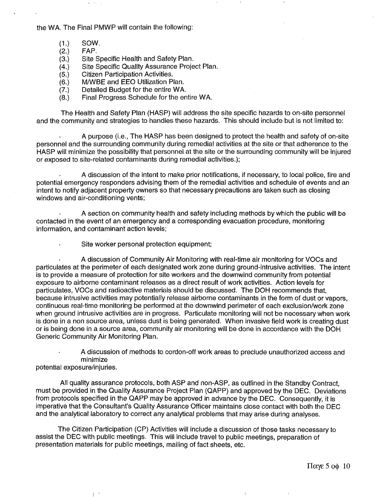the WA. The Final PMWP will contain the following:

- $(1.)$ SOW.
- $(2.)$ FAP.
- Site Specific Health and Safety Plan.  $(3.)$
- Site Specific Quality Assurance Project Plan.  $(4.)$
- Citizen Participation Activities.  $(5.)$
- $(6.)$ M/WBE and EEO Utilization Plan.
- Detailed Budget for the entire WA.  $(7.)$
- Final Progress Schedule for the entire WA.  $(8.)$

The Health and Safety Plan (HASP) will address the site specific hazards to on-site personnel and the community and strategies to handles these hazards. This should include but is not limited to:

A purpose (i.e., The HASP has been designed to protect the health and safety of on-site personnel and the surrounding community during remedial activities at the site or that adherence to the HASP will minimize the possibility that personnel at the site or the surrounding community will be injured or exposed to site-related contaminants during remedial activities.);

A discussion of the intent to make prior notifications, if necessary, to local police, fire and potential emergency responders advising them of the remedial activities and schedule of events and an intent to notify adjacent property owners so that necessary precautions are taken such as closing windows and air-conditioning vents;

A section on community health and safety including methods by which the public will be contacted in the event of an emergency and a corresponding evacuation procedure, monitoring information, and contaminant action levels;

Site worker personal protection equipment;

A discussion of Community Air Monitoring with real-time air monitoring for VOCs and particulates at the perimeter of each designated work zone during ground-intrusive activities. The intent is to provide a measure of protection for site workers and the downwind community from potential exposure to airborne contaminant releases as a direct result of work activities. Action levels for particulates, VOCs and radioactive materials should be discussed. The DOH recommends that, because intrusive activities may potentially release airborne contaminants in the form of dust or vapors, continuous real-time monitoring be performed at the downwind perimeter of each exclusion/work zone when ground intrusive activities are in progress. Particulate monitoring will not be necessary when work is done in a non source area, unless dust is being generated. When invasive field work is creating dust or is being done in a source area, community air monitoring will be done in accordance with the DOH Generic Community Air Monitoring Plan.

A discussion of methods to cordon-off work areas to preclude unauthorized access and minimize

potential exposure/injuries.

 $\overline{1}$ 

All quality assurance protocols, both ASP and non-ASP, as outlined in the Standby Contract, must be provided in the Quality Assurance Project Plan (QAPP) and approved by the DEC. Deviations from protocols specified in the QAPP may be approved in advance by the DEC. Consequently, it is imperative that the Consultant's Quality Assurance Officer maintains close contact with both the DEC and the analytical laboratory to correct any analytical problems that may arise during analyses.

The Citizen Participation (CP) Activities will include a discussion of those tasks necessary to assist the DEC with public meetings. This will include travel to public meetings, preparation of presentation materials for public meetings, mailing of fact sheets, etc.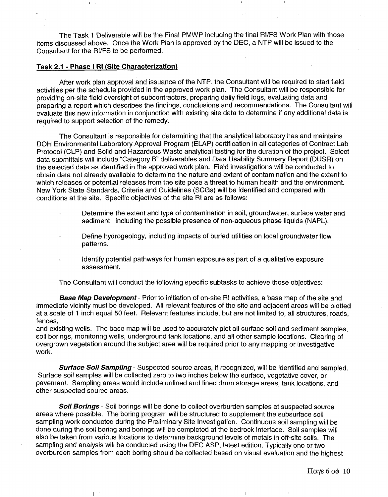The Task 1 Deliverable will be the Final PMWP including the final RIIFS Work Plan with those items discussed above. Once the Work Plan is approved by the DEC, a NTP will be issued to the Consultant for the RI/FS to be performed.

## **Task 2.1** - **Phase I RI (Site Characterization)**

 $\overline{1}$ 

 $\mathbf{u} \rightarrow \mathbf{u}$ 

After work plan approval and issuance of the NTP, the Consultant will be required to start field activities per the schedule provided in the approved work plan. The Consultant will be responsible for providing on-site field oversight of subcontractors, preparing daily field logs, evaluating data and preparing a report which describes the findings, conclusions and recommendations. The Consultant will evaluate this new information in conjunction with existing site data to determine if any additional data is required to support selection of the remedy.

The Consultant is responsible for determining that the analytical laboratory has and maintains DOH Environmental Laboratory Approval Program (ELAP) certification in all categories of Contract Lab Protocol (CLP) and Solid and Hazardous Waste analytical testing for the duration of the project. Select data submittals will include "Category B" deliverables and Data Usability Summary Report (DUSR) on the selected data as identified in the approved work plan. Field investigations will be conducted to obtain data not already available to determine the nature and extent of contamination and the extent to which releases or potential releases from the site pose a threat to human health and the environment. New York State Standards, Criteria and Guidelines (SCGs) will be identified and compared with conditions at the site. Specific objectives of the site RI are as follows:

- Determine the extent and type of contamination in soil, groundwater, surface water and  $\ddot{\phantom{0}}$ sediment including the possible presence of non-aqueous phase liquids (NAPL).
- Define hydrogeology, including impacts of buried utilities on local groundwater flow patterns.
- Identify potential pathways for human exposure as part of a qualitative exposure assessment.

The Consultant will conduct the following specific subtasks to achieve those objectives:

**Base Map Development** - Prior to initiation of on-site RI activities, a base map of the site and immediate vicinity must be developed. All relevant features of the site and adjacent areas will be plotted at a scale of 1 inch equal 50 feet. Relevant features include, but are not limited to, all structures, roads, fences,

and existing wells. The base map will be used to accurately plot all surface soil and sediment samples, soil borings, monitoring wells, underground tank locations, and all other sample locations. Clearing of overgrown vegetation around the subject area will be required prior to any mapping or investigative work.

**Surface Soil Sampling** - Suspected source areas, if recognized, will be identified and sampled. Surface soil samples will be collected zero to two inches below the surface, vegetative cover, or pavement. Sampling areas would include unlined and lined drum storage areas, tank locations, and other suspected source areas.

**Soil Borings** - Soil borings will be done to collect overburden samples at suspected source areas where possible. The boring program will be structured to supplement the subsurface soil sampling work conducted during the Preliminary Site Investigation. Continuous soil sampling will be done during the soil boring and borings will be completed at the bedrock interface. Soil samples will also be taken from various locations to determine background levels of metals in off-site soils. The sampling and analysis will be conducted using the DEC ASP, latest edition. Typically one or two overburden samples from each boring should be collected based on visual evaluation and the highest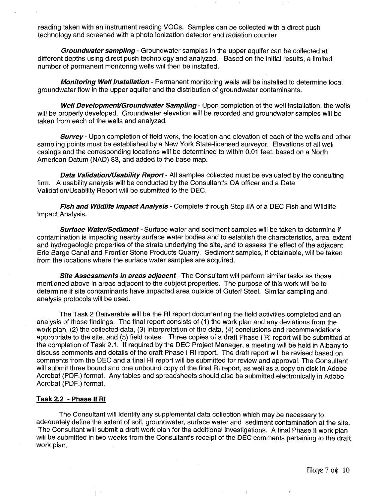reading taken with an instrument reading VOCs. Samples can be collected with a direct push technology and screened with a photo ionization detector and radiation counter

**Groundwater sampling** - Groundwater samples in the upper aquifer can be collected at different depths using direct push technology and analyzed. Based on the initial results, a limited number of permanent monitoring wells will then be installed.

**Monitoring Well Installation** - Permanent monitoring wells will be installed to determine local groundwater flow in the upper aquifer and the distribution of groundwater contaminants.

**Well Development/Groundwater Sampling** - Upon completion of the well installation, the wells will be properly developed. Groundwater elevation will be recorded and groundwater samples will be taken from each of the wells and analyzed.

**Survey-** Upon completion of field work, the location and elevation of each of the wells and other sampling points must be established by a New York State-licensed surveyor. Elevations of all well casings and the corresponding locations will be determined to within 0.01 feet, based on a North American Datum (NAD) 83, and added to the base map.

**Data Validation/Usability Report** - All samples collected must be evaluated by the consulting firm. A usability analysis will be conducted by the Consultant's QA officer and a Data Validation/Usability Report will be submitted to the DEC.

**Fish and Wildlife lmpact Analysis** - Complete through Step IIA of a DEC Fish and Wildlife Impact Analysis.

**Surface Water/Sediment** - Surface water and sediment samples will be taken to determine if contamination is impacting nearby surface water bodies and to establish the characteristics, areal extent and hydrogeologic properties of the strata underlying the site, and to assess the effect of the adjacent Erie Barge Canal and Frontier Stone Products Quarry. Sediment samples, if obtainable, will be taken from the locations where the surface water samples are acquired.

**Site Assessmenfs in areas adjacent** -The Consultant will perform similar tasks as those mentioned above in areas adjacent to the subject properties. The purpose of this work will be to determine if site contaminants have impacted area outside of Guterl Steel. Similar sampling and analysis protocols will be used.

The Task 2 Deliverable will be the RI report documenting the field activities completed and an analysis of those findings. The final report consists of (1) the work plan and any deviations from the work plan, (2) the collected data, (3) interpretation of the data, **(4)** conclusions and recommendations appropriate to the site, and (5) field notes. Three copies of a draft Phase I RI report will be submitted at the completion of Task 2.1. If required by the DEC Project Manager, a meeting will be held in Albany to discuss comments and details of the draft Phase I RI report. The draft report will be revised based on comments from the DEC and a final RI report will be submitted for review and approval. The Consultant will submit three bound and one unbound copy of the final RI report, as well as a copy on disk in Adobe Acrobat (PDF.) format. Any tables and spreadsheets should also be submitted electronically in Adobe Acrobat (PDF.) format.

#### **Task 2.2** - **Phase I1 RI**

 $\overline{1}$ 

The Consultant will identify any supplemental data collection which may be necessary to adequately define the extent of soil, groundwater, surface water and sediment contamination at the site. The Consultant will submit a draft work plan for the additional investigations. A final Phase II work plan will be submitted in two weeks from the Consultant's receipt of the DEC comments pertaining to the draft work plan.

 $\overline{1}$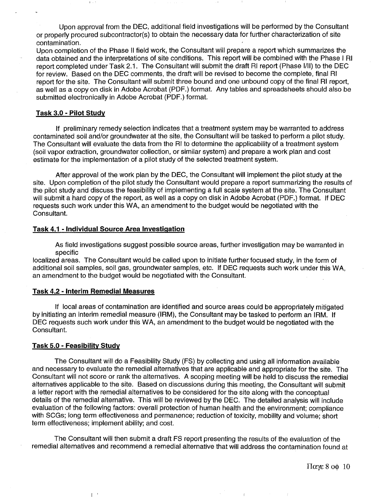Upon approval from the DEC, additional field investigations will be performed by the Consultant or properly procured subcontractor(s) to obtain the necessary data for further characterization of site contamination.

Upon completion of the Phase II field work, the Consultant will prepare a report which summarizes the data obtained and the interpretations of site conditions. This report will be combined with the Phase I RI report completed under Task 2.1. The Consultant will submit the draft RI report (Phase 1/11) to the DEC for review. Based on the DEC comments, the draft will be revised to become the complete, final RI report for the site. The Consultant will submit three bound and one unbound copy of the final RI report, as well as a copy on disk in Adobe Acrobat (PDF.) format. Any tables and spreadsheets should also be submitted electronically in Adobe Acrobat (PDF.) format.

## **Task** 3.0 - **Pilot Studv**

If preliminary remedy selection indicates that a treatment system may be warranted to address contaminated soil and/or groundwater at the site, the Consultant will be tasked to perform a pilot study. The Consultant will evaluate the data from the RI to determine the applicability of a treatment system (soil vapor extraction, groundwater collection, or similar system) and prepare a work plan and cost estimate for the implementation of a pilot study of the selected treatment system.

After approval of the work plan by the DEC, the Consultant will implement the pilot study at the site. Upon completion of the pilot study the Consultant would prepare a report summarizing the results of the pilot study and discuss the feasibility of implementing a full scale system at the site. The Consultant will submit a hard copy of the report, as well as a copy on disk in Adobe Acrobat (PDF.) format. If DEC requests such work under this WA, an amendment to the budget would be negotiated with the Consultant.

### **Task 4.1** - **Individual Source Area Investigation**

As field investigations suggest possible source areas, further investigation may be warranted in specific

localized areas. The Consultant would be called upon to initiate further focused study, in the form of additional soil samples, soil gas, groundwater samples, etc. If DEC requests such work under this WA, an amendment to the budget would be negotiated with the Consultant.

### **Task 4.2** - **Interim Remedial Measures**

L

If local areas of contamination are identified and source areas could be appropriately mitigated by initiating an interim remedial measure (IRM), the Consultant may be tasked to perform an IRM. If DEC requests such work under this WA, an amendment to the budget would be negotiated with the Consultant.

#### **Task 5.0** - **Feasibility Study**

The Consultant will do a Feasibility Study (FS) by collecting and using all information available and necessary to evaluate the remedial alternatives that are applicable and appropriate for the site. The Consultant will not score or rank the alternatives. A scoping meeting will be held to discuss the remedial alternatives applicable to the site. Based on discussions during this meeting, the Consultant will submit a letter report with the remedial alternatives to be considered for the site along with the conceptual details of the remedial alternative. This will be reviewed by the DEC. The detailed analysis will include evaluation of the following factors: overall protection of human health and the environment; compliance with SCGs; long term effectiveness and permanence; reduction of toxicity, mobility and volume; short term effectiveness; implement ability; and cost.

The Consultant will then submit a draft FS report presenting the results of the evaluation of the remedial alternatives and recommend a remedial alternative that will address the contamination found at

Паує 8 оф  $10$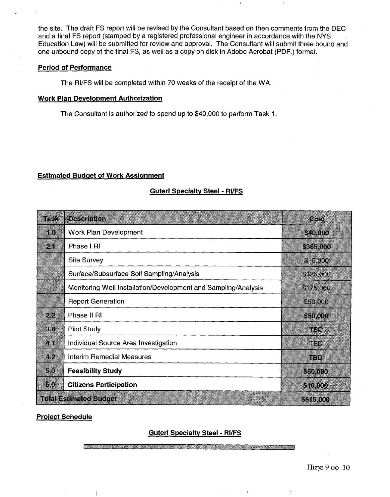the site. The draft FS report will be revised by the Consultant based on then comments from the DEC and a final FS report (stamped by a registered professional engineer in accordance with the NYS Education Law) will be submitted for review and approval. The Consultant will submit three bound and one unbound copy of the final FS, as well as a copy on disk in Adobe Acrobat (PDF.) format.

## **Period of Performance**

The **RIIFS** will be completed within 70 weeks of the receipt of the WA.

## **Work Plan Development Authorization**

The Consultant is authorized to spend up to \$40,000 to perform Task I.

## **Estimated Budget of Work Assignment**

## - **Guterl Specialtv Steel** - **RWFS**

| rask                                       | <b>Description</b>                                             | Cost       |
|--------------------------------------------|----------------------------------------------------------------|------------|
| 10                                         | Work Plan Development                                          | \$40,000   |
| 2.1                                        | Phase I RI                                                     | \$365,000  |
|                                            | <b>Site Survey</b>                                             | \$15,000   |
|                                            | Surface/Subsurface Soil Sampling/Analysis                      | \$125,000  |
|                                            | Monitoring Well Installation/Development and Sampling/Analysis | \$175,000  |
|                                            | <b>Report Generation</b>                                       | \$50,000   |
| 2.2                                        | Phase II RI                                                    | \$50,000   |
| 3 <sub>0</sub>                             | <b>Pilot Study</b>                                             | TBD        |
| 4.1                                        | Individual Source Area Investigation                           | TBD        |
| 42                                         | <b>Interim Remedial Measures</b>                               | <b>TED</b> |
| 5.0                                        | <b>Feasibility Study</b>                                       | \$50,000   |
| 640                                        | <b>Citizens Participation</b>                                  | \$10,000   |
| <b>Total Estimated Budget</b><br>\$515,000 |                                                                |            |

## **Proiect Schedule**

## **Guterl Specialtv Steel** - **RVFS**

 $\mathbb{L}$ 

 $\pi$ αγε 9 οφ 10